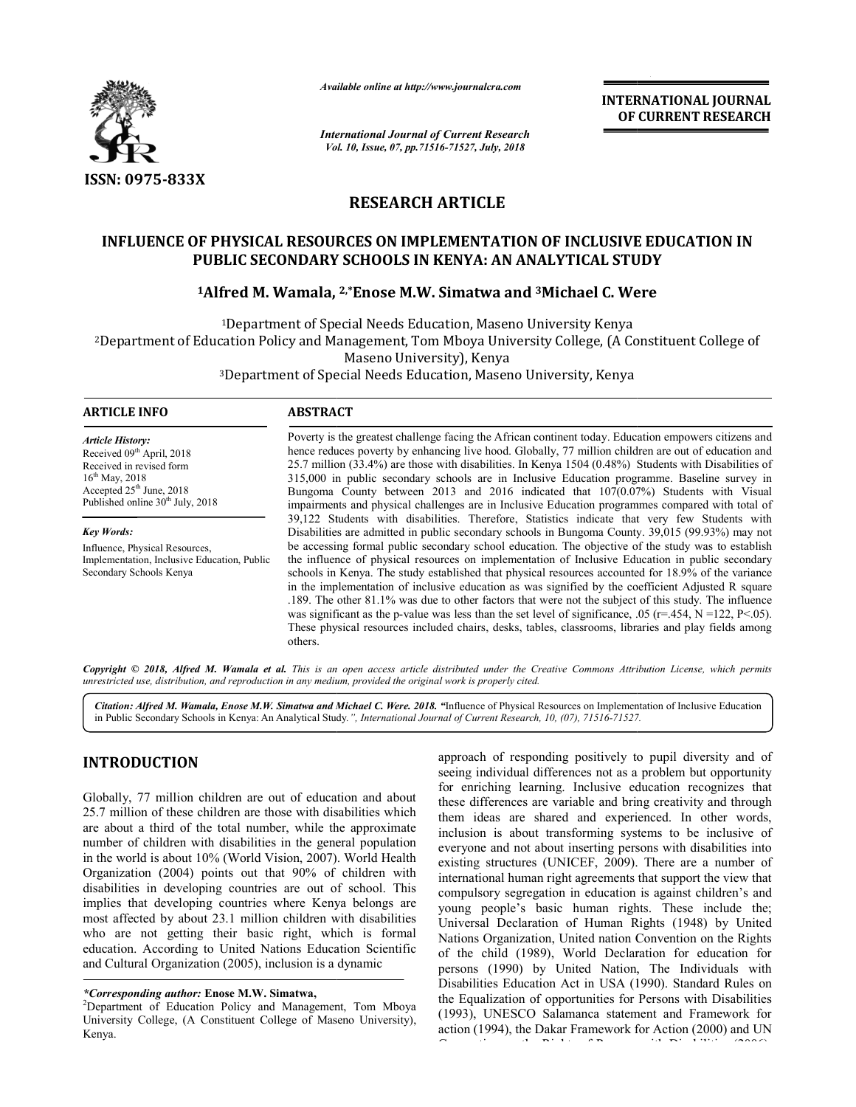

*Available online at http://www.journalcra.com*

*International Journal of Current Research Vol. 10, Issue, 07, Vol. pp.71516-71527, July, 2018*

**INTERNATIONAL JOURNAL OF CURRENT RESEARCH**

# **RESEARCH ARTICLE**

## **INFLUENCE OF PHYSICAL RESOURCES ON IMPLEMENTATION OF INCLUSIVE EDUCATION IN PUBLIC SECONDARY SCHOOLS IN KENYA: AN ANALYTICAL STUDY**

# PUBLIC SECONDARY SCHOOLS IN KENYA: AN ANALYTICAL STUDY<br><sup>1</sup>Alfred M. Wamala, <sup>2,\*</sup>Enose M.W. Simatwa and <sup>3</sup>Michael C. Were

<sup>1</sup>Department of Special Needs Education, Maseno University Kenya 2Department of Education Policy and Management, Tom Mboya University College, (A Constituent College of Department College Maseno University), Kenya

<sup>3</sup>Department of Special Needs Education, Maseno University, Kenya

| <b>ARTICLE INFO</b>                                                        | <b>ABSTRACT</b>                                                                                                  |  |  |  |  |  |
|----------------------------------------------------------------------------|------------------------------------------------------------------------------------------------------------------|--|--|--|--|--|
| <b>Article History:</b>                                                    | Poverty is the greatest challenge facing the African continent today. Education empowers citizens and            |  |  |  |  |  |
| Received 09th April, 2018                                                  | hence reduces poverty by enhancing live hood. Globally, 77 million children are out of education and             |  |  |  |  |  |
| Received in revised form                                                   | 25.7 million (33.4%) are those with disabilities. In Kenya 1504 (0.48%) Students with Disabilities of            |  |  |  |  |  |
| $16^{th}$ May, 2018                                                        | 315,000 in public secondary schools are in Inclusive Education programme. Baseline survey in                     |  |  |  |  |  |
| Accepted $25th$ June, 2018<br>Published online 30 <sup>th</sup> July, 2018 | Bungoma County between 2013 and 2016 indicated that 107(0.07%) Students with Visual                              |  |  |  |  |  |
|                                                                            | impairments and physical challenges are in Inclusive Education programmes compared with total of                 |  |  |  |  |  |
|                                                                            | 39,122 Students with disabilities. Therefore, Statistics indicate that very few Students with                    |  |  |  |  |  |
| <b>Key Words:</b>                                                          | Disabilities are admitted in public secondary schools in Bungoma County. 39,015 (99.93%) may not                 |  |  |  |  |  |
| Influence, Physical Resources,                                             | be accessing formal public secondary school education. The objective of the study was to establish               |  |  |  |  |  |
| Implementation, Inclusive Education, Public                                | the influence of physical resources on implementation of Inclusive Education in public secondary                 |  |  |  |  |  |
| Secondary Schools Kenya                                                    | schools in Kenya. The study established that physical resources accounted for 18.9% of the variance              |  |  |  |  |  |
|                                                                            | in the implementation of inclusive education as was signified by the coefficient Adjusted R square               |  |  |  |  |  |
|                                                                            | .189. The other 81.1% was due to other factors that were not the subject of this study. The influence            |  |  |  |  |  |
|                                                                            | was significant as the p-value was less than the set level of significance, .05 ( $r=454$ , $N=122$ , $P<.05$ ). |  |  |  |  |  |
|                                                                            | These physical resources included chairs, desks, tables, classrooms, libraries and play fields among             |  |  |  |  |  |
|                                                                            | others.                                                                                                          |  |  |  |  |  |

Copyright © 2018, Alfred M. Wamala et al. This is an open access article distributed under the Creative Commons Attribution License, which permits *unrestricted use, distribution, and reproduction in any medium, provided the original work is properly cited.*

Citation: Alfred M. Wamala, Enose M.W. Simatwa and Michael C. Were. 2018. "Influence of Physical Resources on Implementation of Inclusive Education in Public Secondary Schools in Kenya: An Analytical Study.", International Journal of Current Research, 10, (07), 71516-71527.

# **INTRODUCTION**

Globally, 77 million children are out of education and about 25.7 million of these children are those with disabilities which are about a third of the total number, while the approximate number of children with disabilities in the general population in the world is about 10% (World Vision, 2007). Organization (2004) points out that 90% of children with disabilities in developing countries are out of school. This implies that developing countries where Kenya belongs are most affected by about 23.1 million children with disabilities who are not getting their basic right, which is formal education. According to United Nations Education Scientific and Cultural Organization (2005), inclusion is a dynamic about a third of the total number, while the approximate<br>ber of children with disabilities in the general population<br>he world is about 10% (World Vision, 2007). World Health

*\*Corresponding author:* **Enose M.W. Simatwa,** <sup>2</sup>

**DUCTION**<br> **EXERCTION** sperioach of responding positively to pupil diversity and of<br>
sechi production and about<br>
for emriching learning. Inclusive education recognizes that<br>
that a third of the total number, while the appr seeing individual differences not as a problem but opportunity for enriching learning. Inclusive education recognizes that these differences are variable and bring creativity and through them ideas are shared and experienced. In other words, inclusion is about transforming systems to be inclusive of everyone and not about inserting persons with disabilities into existing structures (UNICEF, 2009). There are a number of international human right agreements that support the view that international human right agreements that support the view that compulsory segregation in education is against children's and young people's basic human rights. These include the; Universal Declaration of Human Rights (1948) by United Universal Declaration of Human Rights (1948) by United<br>Nations Organization, United nation Convention on the Rights of the child (1989), World Declaration for education for Declaration persons (1990) by United Nation, The Individuals with Disabilities Education Act in USA (1990). Standard Rules on the Equalization of opportunities for Persons with Disabilities (1993), UNESCO Salamanca statement and Framework for action (1994), the Dakar Framework for Action (2000) and UN Convention on the Rights of Persons with Disabilities (2006). approach of responding positively to pupil diversity and of variable and bring creativity and through<br>red and experienced. In other words,<br>ansforming systems to be inclusive of INTERNATIONAL JOURNAL<br>
OF CURRENT RESEARCH<br>
OF CURRENT RESEARCH<br>
OF CURRENT RESEARCH<br>
L.STUDY<br>
1C. Were<br>
Kenya<br>
2, (A Constituent College of<br>
Kenya<br>
2, (A Constituent College of<br>
Kenya<br>
2, (A Constituent College of<br>
Kenya<br>

<sup>&</sup>lt;sup>2</sup>Department of Education Policy and Management, Tom Mboya University College, (A Constituent College of Maseno University), Kenya.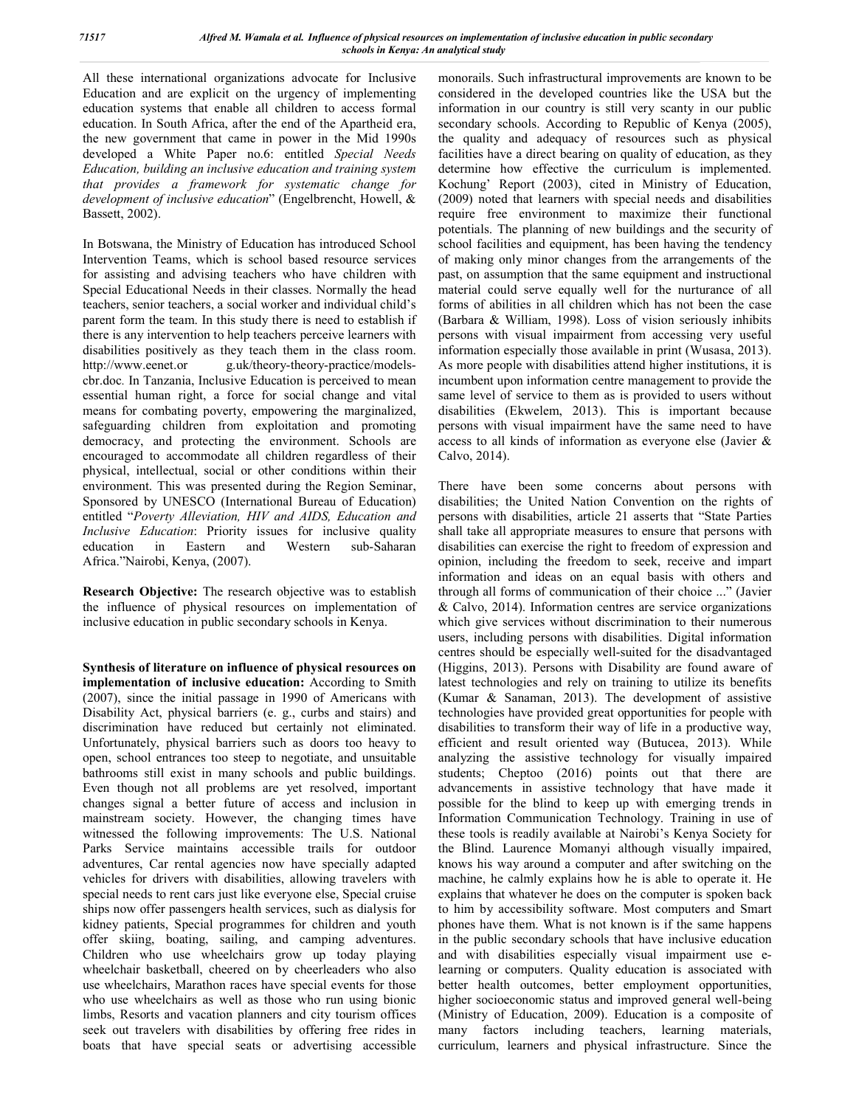All these international organizations advocate for Inclusive Education and are explicit on the urgency of implementing education systems that enable all children to access formal education. In South Africa, after the end of the Apartheid era, the new government that came in power in the Mid 1990s developed a White Paper no.6: entitled *Special Needs Education, building an inclusive education and training system that provides a framework for systematic change for development of inclusive education*" (Engelbrencht, Howell, & Bassett, 2002).

In Botswana, the Ministry of Education has introduced School Intervention Teams, which is school based resource services for assisting and advising teachers who have children with Special Educational Needs in their classes. Normally the head teachers, senior teachers, a social worker and individual child's parent form the team. In this study there is need to establish if there is any intervention to help teachers perceive learners with disabilities positively as they teach them in the class room. http://www.eenet.or g.uk/theory-theory-practice/modelscbr.doc*.* In Tanzania, Inclusive Education is perceived to mean essential human right, a force for social change and vital means for combating poverty, empowering the marginalized, safeguarding children from exploitation and promoting democracy, and protecting the environment. Schools are encouraged to accommodate all children regardless of their physical, intellectual, social or other conditions within their environment. This was presented during the Region Seminar, Sponsored by UNESCO (International Bureau of Education) entitled "*Poverty Alleviation, HIV and AIDS, Education and Inclusive Education*: Priority issues for inclusive quality education in Eastern and Western sub-Saharan education in Eastern and Western Africa."Nairobi, Kenya, (2007).

**Research Objective:** The research objective was to establish the influence of physical resources on implementation of inclusive education in public secondary schools in Kenya.

**Synthesis of literature on influence of physical resources on implementation of inclusive education:** According to Smith (2007), since the initial passage in 1990 of Americans with Disability Act, physical barriers (e. g., curbs and stairs) and discrimination have reduced but certainly not eliminated. Unfortunately, physical barriers such as doors too heavy to open, school entrances too steep to negotiate, and unsuitable bathrooms still exist in many schools and public buildings. Even though not all problems are yet resolved, important changes signal a better future of access and inclusion in mainstream society. However, the changing times have witnessed the following improvements: The U.S. National Parks Service maintains accessible trails for outdoor adventures, Car rental agencies now have specially adapted vehicles for drivers with disabilities, allowing travelers with special needs to rent cars just like everyone else, Special cruise ships now offer passengers health services, such as dialysis for kidney patients, Special programmes for children and youth offer skiing, boating, sailing, and camping adventures. Children who use wheelchairs grow up today playing wheelchair basketball, cheered on by cheerleaders who also use wheelchairs, Marathon races have special events for those who use wheelchairs as well as those who run using bionic limbs, Resorts and vacation planners and city tourism offices seek out travelers with disabilities by offering free rides in boats that have special seats or advertising accessible

monorails. Such infrastructural improvements are known to be considered in the developed countries like the USA but the information in our country is still very scanty in our public secondary schools. According to Republic of Kenya (2005), the quality and adequacy of resources such as physical facilities have a direct bearing on quality of education, as they determine how effective the curriculum is implemented. Kochung' Report (2003), cited in Ministry of Education, (2009) noted that learners with special needs and disabilities require free environment to maximize their functional potentials. The planning of new buildings and the security of school facilities and equipment, has been having the tendency of making only minor changes from the arrangements of the past, on assumption that the same equipment and instructional material could serve equally well for the nurturance of all forms of abilities in all children which has not been the case (Barbara & William, 1998). Loss of vision seriously inhibits persons with visual impairment from accessing very useful information especially those available in print (Wusasa, 2013). As more people with disabilities attend higher institutions, it is incumbent upon information centre management to provide the same level of service to them as is provided to users without disabilities (Ekwelem, 2013). This is important because persons with visual impairment have the same need to have access to all kinds of information as everyone else (Javier & Calvo, 2014).

There have been some concerns about persons with disabilities; the United Nation Convention on the rights of persons with disabilities, article 21 asserts that "State Parties shall take all appropriate measures to ensure that persons with disabilities can exercise the right to freedom of expression and opinion, including the freedom to seek, receive and impart information and ideas on an equal basis with others and through all forms of communication of their choice ..." (Javier & Calvo, 2014). Information centres are service organizations which give services without discrimination to their numerous users, including persons with disabilities. Digital information centres should be especially well-suited for the disadvantaged (Higgins, 2013). Persons with Disability are found aware of latest technologies and rely on training to utilize its benefits (Kumar & Sanaman, 2013). The development of assistive technologies have provided great opportunities for people with disabilities to transform their way of life in a productive way, efficient and result oriented way (Butucea, 2013). While analyzing the assistive technology for visually impaired students; Cheptoo (2016) points out that there are advancements in assistive technology that have made it possible for the blind to keep up with emerging trends in Information Communication Technology. Training in use of these tools is readily available at Nairobi's Kenya Society for the Blind. Laurence Momanyi although visually impaired, knows his way around a computer and after switching on the machine, he calmly explains how he is able to operate it. He explains that whatever he does on the computer is spoken back to him by accessibility software. Most computers and Smart phones have them. What is not known is if the same happens in the public secondary schools that have inclusive education and with disabilities especially visual impairment use elearning or computers. Quality education is associated with better health outcomes, better employment opportunities, higher socioeconomic status and improved general well-being (Ministry of Education, 2009). Education is a composite of many factors including teachers, learning materials, curriculum, learners and physical infrastructure. Since the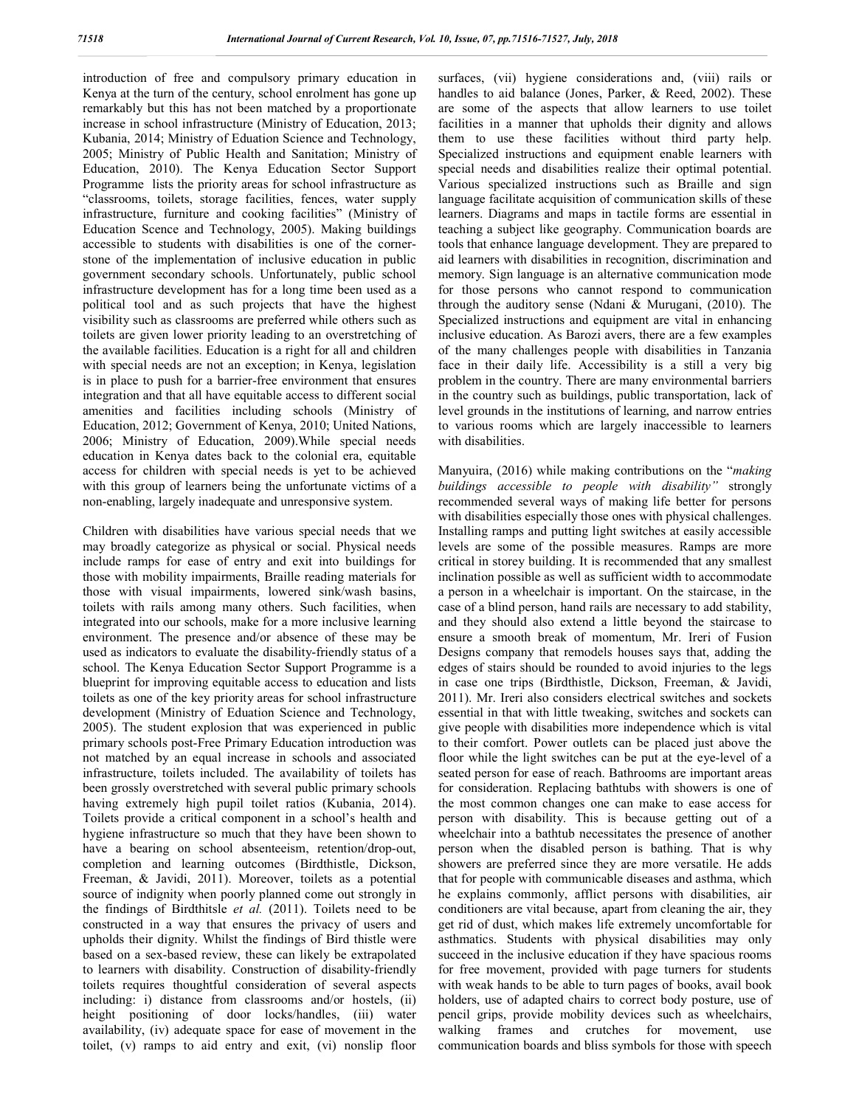introduction of free and compulsory primary education in Kenya at the turn of the century, school enrolment has gone up remarkably but this has not been matched by a proportionate increase in school infrastructure (Ministry of Education, 2013; Kubania, 2014; Ministry of Eduation Science and Technology, 2005; Ministry of Public Health and Sanitation; Ministry of Education, 2010). The Kenya Education Sector Support Programme lists the priority areas for school infrastructure as "classrooms, toilets, storage facilities, fences, water supply infrastructure, furniture and cooking facilities" (Ministry of Education Scence and Technology, 2005). Making buildings accessible to students with disabilities is one of the cornerstone of the implementation of inclusive education in public government secondary schools. Unfortunately, public school infrastructure development has for a long time been used as a political tool and as such projects that have the highest visibility such as classrooms are preferred while others such as toilets are given lower priority leading to an overstretching of the available facilities. Education is a right for all and children with special needs are not an exception; in Kenya, legislation is in place to push for a barrier-free environment that ensures integration and that all have equitable access to different social amenities and facilities including schools (Ministry of Education, 2012; Government of Kenya, 2010; United Nations, 2006; Ministry of Education, 2009).While special needs education in Kenya dates back to the colonial era, equitable access for children with special needs is yet to be achieved with this group of learners being the unfortunate victims of a non-enabling, largely inadequate and unresponsive system.

Children with disabilities have various special needs that we may broadly categorize as physical or social. Physical needs include ramps for ease of entry and exit into buildings for those with mobility impairments, Braille reading materials for those with visual impairments, lowered sink/wash basins, toilets with rails among many others. Such facilities, when integrated into our schools, make for a more inclusive learning environment. The presence and/or absence of these may be used as indicators to evaluate the disability-friendly status of a school. The Kenya Education Sector Support Programme is a blueprint for improving equitable access to education and lists toilets as one of the key priority areas for school infrastructure development (Ministry of Eduation Science and Technology, 2005). The student explosion that was experienced in public primary schools post-Free Primary Education introduction was not matched by an equal increase in schools and associated infrastructure, toilets included. The availability of toilets has been grossly overstretched with several public primary schools having extremely high pupil toilet ratios (Kubania, 2014). Toilets provide a critical component in a school's health and hygiene infrastructure so much that they have been shown to have a bearing on school absenteeism, retention/drop-out, completion and learning outcomes (Birdthistle, Dickson, Freeman, & Javidi, 2011). Moreover, toilets as a potential source of indignity when poorly planned come out strongly in the findings of Birdthitsle *et al.* (2011). Toilets need to be constructed in a way that ensures the privacy of users and upholds their dignity. Whilst the findings of Bird thistle were based on a sex-based review, these can likely be extrapolated to learners with disability. Construction of disability-friendly toilets requires thoughtful consideration of several aspects including: i) distance from classrooms and/or hostels, (ii) height positioning of door locks/handles, (iii) water availability, (iv) adequate space for ease of movement in the toilet, (v) ramps to aid entry and exit, (vi) nonslip floor

surfaces, (vii) hygiene considerations and, (viii) rails or handles to aid balance (Jones, Parker, & Reed, 2002). These are some of the aspects that allow learners to use toilet facilities in a manner that upholds their dignity and allows them to use these facilities without third party help. Specialized instructions and equipment enable learners with special needs and disabilities realize their optimal potential. Various specialized instructions such as Braille and sign language facilitate acquisition of communication skills of these learners. Diagrams and maps in tactile forms are essential in teaching a subject like geography. Communication boards are tools that enhance language development. They are prepared to aid learners with disabilities in recognition, discrimination and memory. Sign language is an alternative communication mode for those persons who cannot respond to communication through the auditory sense (Ndani & Murugani, (2010). The Specialized instructions and equipment are vital in enhancing inclusive education. As Barozi avers, there are a few examples of the many challenges people with disabilities in Tanzania face in their daily life. Accessibility is a still a very big problem in the country. There are many environmental barriers in the country such as buildings, public transportation, lack of level grounds in the institutions of learning, and narrow entries to various rooms which are largely inaccessible to learners with disabilities.

Manyuira, (2016) while making contributions on the "*making buildings accessible to people with disability"* strongly recommended several ways of making life better for persons with disabilities especially those ones with physical challenges. Installing ramps and putting light switches at easily accessible levels are some of the possible measures. Ramps are more critical in storey building. It is recommended that any smallest inclination possible as well as sufficient width to accommodate a person in a wheelchair is important. On the staircase, in the case of a blind person, hand rails are necessary to add stability, and they should also extend a little beyond the staircase to ensure a smooth break of momentum, Mr. Ireri of Fusion Designs company that remodels houses says that, adding the edges of stairs should be rounded to avoid injuries to the legs in case one trips (Birdthistle, Dickson, Freeman, & Javidi, 2011). Mr. Ireri also considers electrical switches and sockets essential in that with little tweaking, switches and sockets can give people with disabilities more independence which is vital to their comfort. Power outlets can be placed just above the floor while the light switches can be put at the eye-level of a seated person for ease of reach. Bathrooms are important areas for consideration. Replacing bathtubs with showers is one of the most common changes one can make to ease access for person with disability. This is because getting out of a wheelchair into a bathtub necessitates the presence of another person when the disabled person is bathing. That is why showers are preferred since they are more versatile. He adds that for people with communicable diseases and asthma, which he explains commonly, afflict persons with disabilities, air conditioners are vital because, apart from cleaning the air, they get rid of dust, which makes life extremely uncomfortable for asthmatics. Students with physical disabilities may only succeed in the inclusive education if they have spacious rooms for free movement, provided with page turners for students with weak hands to be able to turn pages of books, avail book holders, use of adapted chairs to correct body posture, use of pencil grips, provide mobility devices such as wheelchairs, walking frames and crutches for movement, use communication boards and bliss symbols for those with speech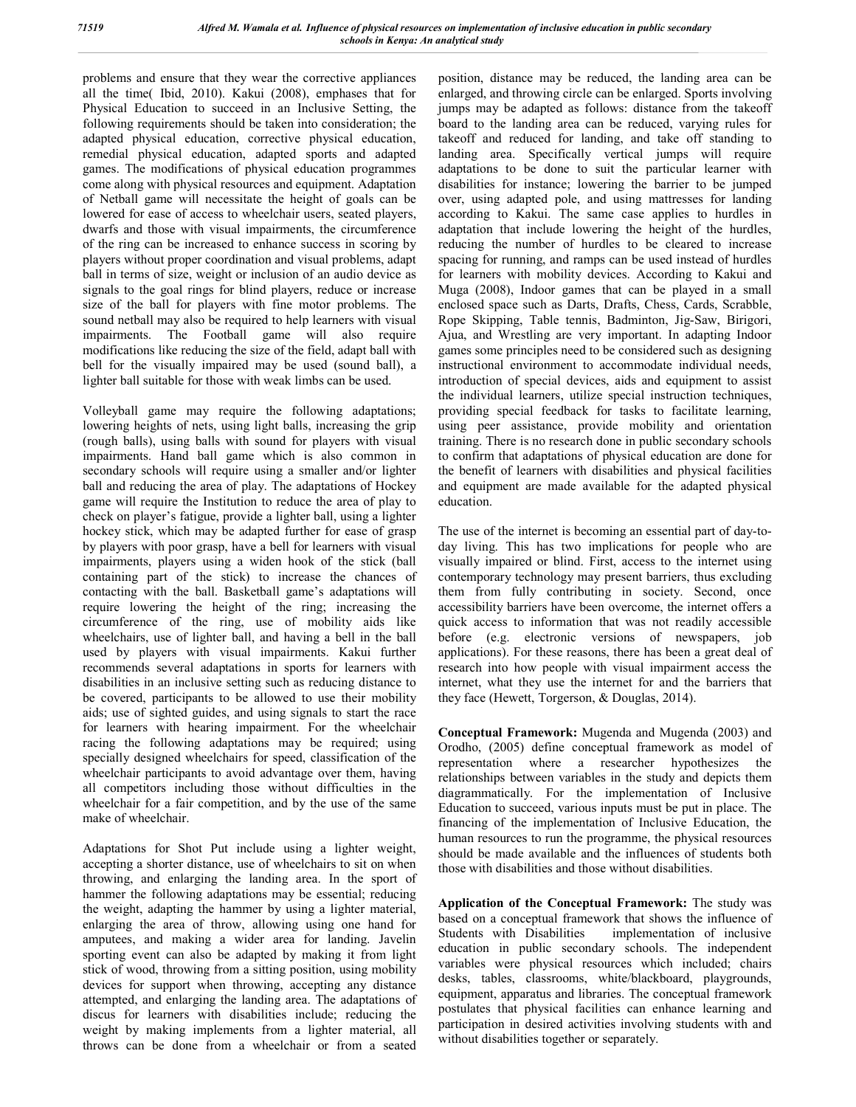problems and ensure that they wear the corrective appliances all the time( Ibid, 2010). Kakui (2008), emphases that for Physical Education to succeed in an Inclusive Setting, the following requirements should be taken into consideration; the adapted physical education, corrective physical education, remedial physical education, adapted sports and adapted games. The modifications of physical education programmes come along with physical resources and equipment. Adaptation of Netball game will necessitate the height of goals can be lowered for ease of access to wheelchair users, seated players, dwarfs and those with visual impairments, the circumference of the ring can be increased to enhance success in scoring by players without proper coordination and visual problems, adapt ball in terms of size, weight or inclusion of an audio device as signals to the goal rings for blind players, reduce or increase size of the ball for players with fine motor problems. The sound netball may also be required to help learners with visual impairments. The Football game will also require modifications like reducing the size of the field, adapt ball with bell for the visually impaired may be used (sound ball), a lighter ball suitable for those with weak limbs can be used.

Volleyball game may require the following adaptations; lowering heights of nets, using light balls, increasing the grip (rough balls), using balls with sound for players with visual impairments. Hand ball game which is also common in secondary schools will require using a smaller and/or lighter ball and reducing the area of play. The adaptations of Hockey game will require the Institution to reduce the area of play to check on player's fatigue, provide a lighter ball, using a lighter hockey stick, which may be adapted further for ease of grasp by players with poor grasp, have a bell for learners with visual impairments, players using a widen hook of the stick (ball containing part of the stick) to increase the chances of contacting with the ball. Basketball game's adaptations will require lowering the height of the ring; increasing the circumference of the ring, use of mobility aids like wheelchairs, use of lighter ball, and having a bell in the ball used by players with visual impairments. Kakui further recommends several adaptations in sports for learners with disabilities in an inclusive setting such as reducing distance to be covered, participants to be allowed to use their mobility aids; use of sighted guides, and using signals to start the race for learners with hearing impairment. For the wheelchair racing the following adaptations may be required; using specially designed wheelchairs for speed, classification of the wheelchair participants to avoid advantage over them, having all competitors including those without difficulties in the wheelchair for a fair competition, and by the use of the same make of wheelchair.

Adaptations for Shot Put include using a lighter weight, accepting a shorter distance, use of wheelchairs to sit on when throwing, and enlarging the landing area. In the sport of hammer the following adaptations may be essential; reducing the weight, adapting the hammer by using a lighter material, enlarging the area of throw, allowing using one hand for amputees, and making a wider area for landing. Javelin sporting event can also be adapted by making it from light stick of wood, throwing from a sitting position, using mobility devices for support when throwing, accepting any distance attempted, and enlarging the landing area. The adaptations of discus for learners with disabilities include; reducing the weight by making implements from a lighter material, all throws can be done from a wheelchair or from a seated

position, distance may be reduced, the landing area can be enlarged, and throwing circle can be enlarged. Sports involving jumps may be adapted as follows: distance from the takeoff board to the landing area can be reduced, varying rules for takeoff and reduced for landing, and take off standing to landing area. Specifically vertical jumps will require adaptations to be done to suit the particular learner with disabilities for instance; lowering the barrier to be jumped over, using adapted pole, and using mattresses for landing according to Kakui. The same case applies to hurdles in adaptation that include lowering the height of the hurdles, reducing the number of hurdles to be cleared to increase spacing for running, and ramps can be used instead of hurdles for learners with mobility devices. According to Kakui and Muga (2008), Indoor games that can be played in a small enclosed space such as Darts, Drafts, Chess, Cards, Scrabble, Rope Skipping, Table tennis, Badminton, Jig-Saw, Birigori, Ajua, and Wrestling are very important. In adapting Indoor games some principles need to be considered such as designing instructional environment to accommodate individual needs, introduction of special devices, aids and equipment to assist the individual learners, utilize special instruction techniques, providing special feedback for tasks to facilitate learning, using peer assistance, provide mobility and orientation training. There is no research done in public secondary schools to confirm that adaptations of physical education are done for the benefit of learners with disabilities and physical facilities and equipment are made available for the adapted physical education.

The use of the internet is becoming an essential part of day-today living. This has two implications for people who are visually impaired or blind. First, access to the internet using contemporary technology may present barriers, thus excluding them from fully contributing in society. Second, once accessibility barriers have been overcome, the internet offers a quick access to information that was not readily accessible before (e.g. electronic versions of newspapers, job applications). For these reasons, there has been a great deal of research into how people with visual impairment access the internet, what they use the internet for and the barriers that they face (Hewett, Torgerson, & Douglas, 2014).

**Conceptual Framework:** Mugenda and Mugenda (2003) and Orodho, (2005) define conceptual framework as model of representation where a researcher hypothesizes the relationships between variables in the study and depicts them diagrammatically. For the implementation of Inclusive Education to succeed, various inputs must be put in place. The financing of the implementation of Inclusive Education, the human resources to run the programme, the physical resources should be made available and the influences of students both those with disabilities and those without disabilities.

**Application of the Conceptual Framework:** The study was based on a conceptual framework that shows the influence of Students with Disabilities implementation of inclusive education in public secondary schools. The independent variables were physical resources which included; chairs desks, tables, classrooms, white/blackboard, playgrounds, equipment, apparatus and libraries. The conceptual framework postulates that physical facilities can enhance learning and participation in desired activities involving students with and without disabilities together or separately.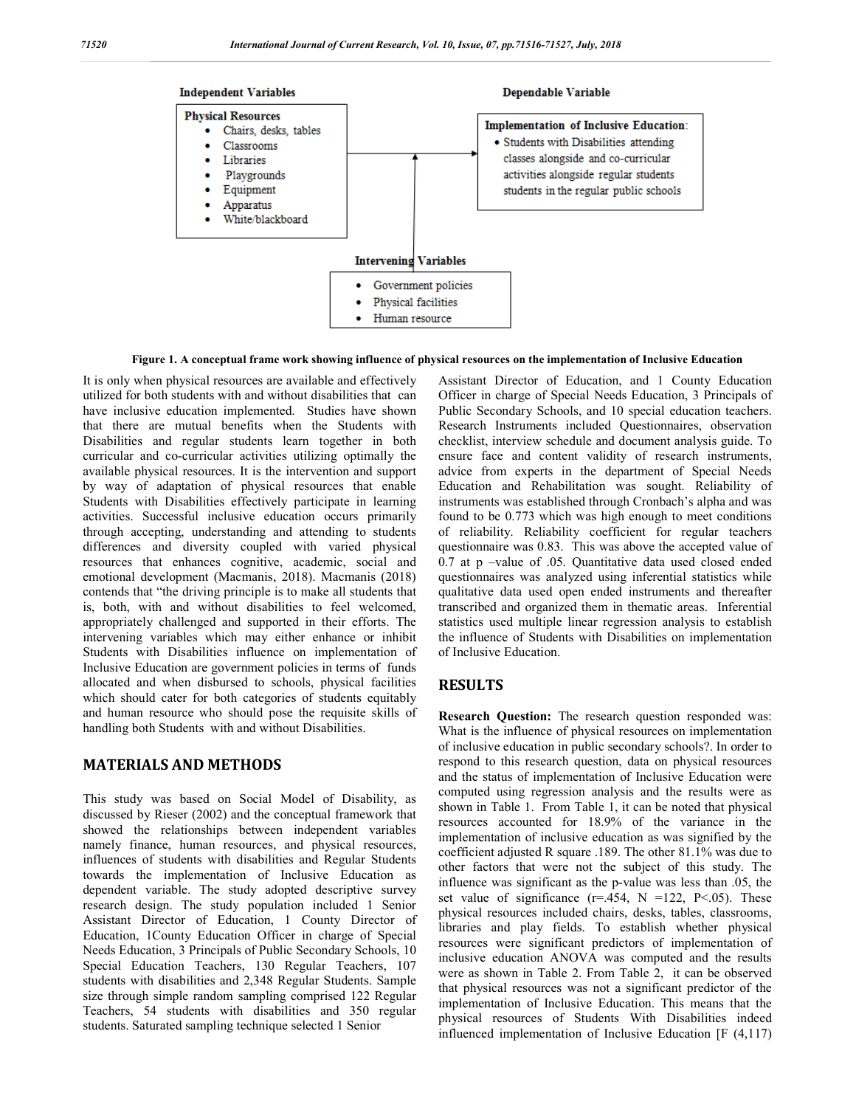

**Figure 1. A conceptual frame work showing influence of physical resources on the implementation of Inclusive Education**

It is only when physical resources are available and effectively utilized for both students with and without disabilities that can have inclusive education implemented. Studies have shown that there are mutual benefits when the Students with Disabilities and regular students learn together in both curricular and co-curricular activities utilizing optimally the available physical resources. It is the intervention and support by way of adaptation of physical resources that enable Students with Disabilities effectively participate in learning activities. Successful inclusive education occurs primarily through accepting, understanding and attending to students differences and diversity coupled with varied physical resources that enhances cognitive, academic, social and emotional development (Macmanis, 2018). Macmanis (2018) contends that "the driving principle is to make all students that is, both, with and without disabilities to feel welcomed, appropriately challenged and supported in their efforts. The intervening variables which may either enhance or inhibit Students with Disabilities influence on implementation of Inclusive Education are government policies in terms of funds allocated and when disbursed to schools, physical facilities which should cater for both categories of students equitably and human resource who should pose the requisite skills of handling both Students with and without Disabilities.

## **MATERIALS AND METHODS**

This study was based on Social Model of Disability, as discussed by Rieser (2002) and the conceptual framework that showed the relationships between independent variables namely finance, human resources, and physical resources, influences of students with disabilities and Regular Students towards the implementation of Inclusive Education as dependent variable. The study adopted descriptive survey research design. The study population included 1 Senior Assistant Director of Education, 1 County Director of Education, 1County Education Officer in charge of Special Needs Education, 3 Principals of Public Secondary Schools, 10 Special Education Teachers, 130 Regular Teachers, 107 students with disabilities and 2,348 Regular Students. Sample size through simple random sampling comprised 122 Regular Teachers, 54 students with disabilities and 350 regular students. Saturated sampling technique selected 1 Senior

Assistant Director of Education, and 1 County Education Officer in charge of Special Needs Education, 3 Principals of Public Secondary Schools, and 10 special education teachers. Research Instruments included Questionnaires, observation checklist, interview schedule and document analysis guide. To ensure face and content validity of research instruments, advice from experts in the department of Special Needs Education and Rehabilitation was sought. Reliability of instruments was established through Cronbach's alpha and was found to be 0.773 which was high enough to meet conditions of reliability. Reliability coefficient for regular teachers questionnaire was 0.83. This was above the accepted value of 0.7 at p –value of .05. Quantitative data used closed ended questionnaires was analyzed using inferential statistics while qualitative data used open ended instruments and thereafter transcribed and organized them in thematic areas. Inferential statistics used multiple linear regression analysis to establish the influence of Students with Disabilities on implementation of Inclusive Education.

## **RESULTS**

**Research Question:** The research question responded was: What is the influence of physical resources on implementation of inclusive education in public secondary schools?. In order to respond to this research question, data on physical resources and the status of implementation of Inclusive Education were computed using regression analysis and the results were as shown in Table 1. From Table 1, it can be noted that physical resources accounted for 18.9% of the variance in the implementation of inclusive education as was signified by the coefficient adjusted R square .189. The other 81.1% was due to other factors that were not the subject of this study. The influence was significant as the p-value was less than .05, the set value of significance  $(r=.454, N = 122, P < .05)$ . These physical resources included chairs, desks, tables, classrooms, libraries and play fields. To establish whether physical resources were significant predictors of implementation of inclusive education ANOVA was computed and the results were as shown in Table 2. From Table 2, it can be observed that physical resources was not a significant predictor of the implementation of Inclusive Education. This means that the physical resources of Students With Disabilities indeed influenced implementation of Inclusive Education [F (4,117)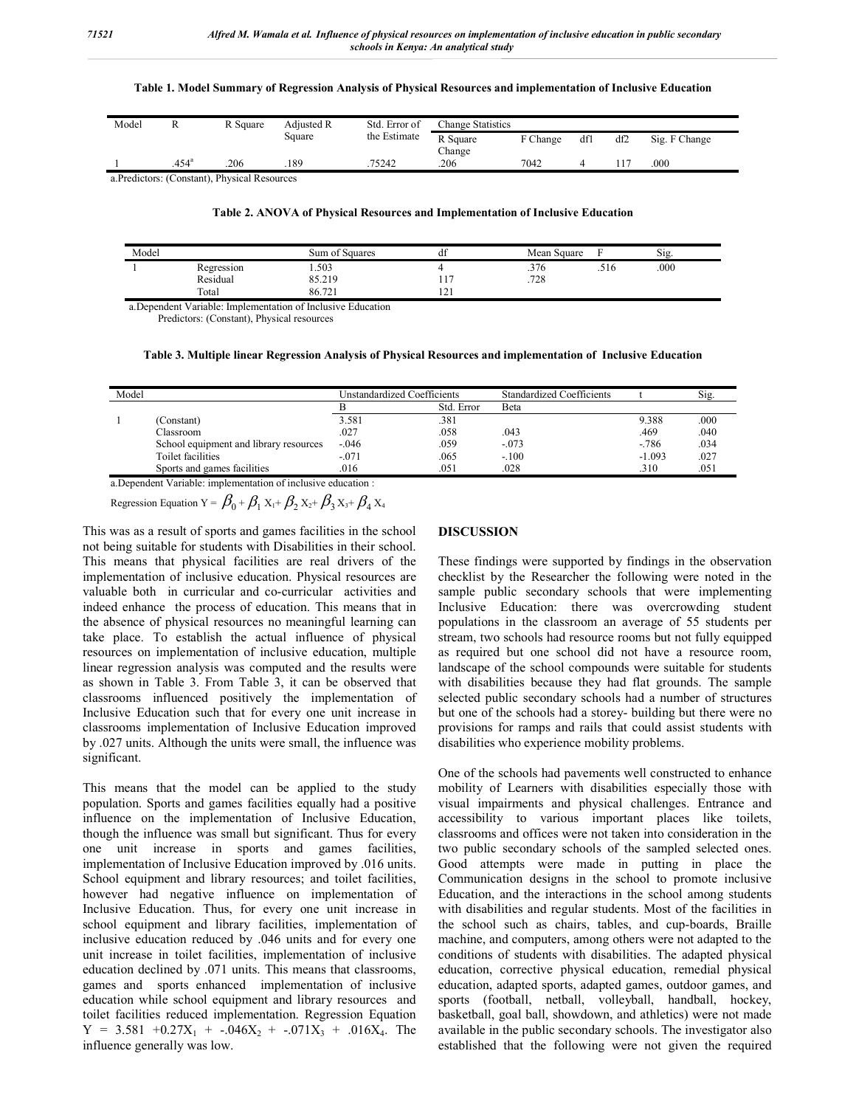#### **Table 1. Model Summary of Regression Analysis of Physical Resources and implementation of Inclusive Education**

| Model |                | R Square                                    | Adjusted R | Std. Error of | <b>Change Statistics</b> |          |     |     |               |  |
|-------|----------------|---------------------------------------------|------------|---------------|--------------------------|----------|-----|-----|---------------|--|
|       |                |                                             | Square     | the Estimate  | R Square                 | F Change | dfl | df2 | Sig. F Change |  |
|       | $.454^{\circ}$ | 206                                         | 189        | 75242         | Change<br>206            | 7042     |     |     | 000           |  |
|       |                | a Predictors: (Constant) Physical Resources |            |               |                          |          |     |     |               |  |

a.Predictors: (Constant), Physical Resources

**Table 2. ANOVA of Physical Resources and Implementation of Inclusive Education**

| Model |                                 | $\sim$ $\sim$<br>Sum of Squares                                  | $\mathbf{r}$<br>đt             | Mean Square |              | $\sim$<br>$S1g$ . |  |
|-------|---------------------------------|------------------------------------------------------------------|--------------------------------|-------------|--------------|-------------------|--|
|       | Regression                      | 1.503                                                            |                                | .376        | $-1$<br>.516 | .000              |  |
|       | Residual                        | 85.219                                                           | $\overline{\phantom{a}}$<br>11 | .728        |              |                   |  |
|       | Total                           | 86.721                                                           | $\sim$<br>$1 \leq 1$           |             |              |                   |  |
|       | the contract of the contract of | the contract of the contract of<br>the control of the control of |                                |             |              |                   |  |

a.Dependent Variable: Implementation of Inclusive Education

Predictors: (Constant), Physical resources

**Table 3. Multiple linear Regression Analysis of Physical Resources and implementation of Inclusive Education**

| Model |                                        | Unstandardized Coefficients |            | <b>Standardized Coefficients</b> |          | Sig. |
|-------|----------------------------------------|-----------------------------|------------|----------------------------------|----------|------|
|       |                                        |                             | Std. Error | Beta                             |          |      |
|       | (Constant)                             | 3.581                       | .381       |                                  | 9.388    | .000 |
|       | Classroom                              | .027                        | .058       | .043                             | .469     | .040 |
|       | School equipment and library resources | $-.046$                     | .059       | $-.073$                          | $-786$   | .034 |
|       | Toilet facilities                      | $-.071$                     | .065       | $-.100$                          | $-1.093$ | .027 |
|       | Sports and games facilities            | .016                        | .051       | .028                             | .310     | .051 |

a.Dependent Variable: implementation of inclusive education :

Regression Equation Y =  $\beta_0 + \beta_1 X_1 + \beta_2 X_2 + \beta_3 X_3 + \beta_4 X_4$ 

This was as a result of sports and games facilities in the school not being suitable for students with Disabilities in their school. This means that physical facilities are real drivers of the implementation of inclusive education. Physical resources are valuable both in curricular and co-curricular activities and indeed enhance the process of education. This means that in the absence of physical resources no meaningful learning can take place. To establish the actual influence of physical resources on implementation of inclusive education, multiple linear regression analysis was computed and the results were as shown in Table 3. From Table 3, it can be observed that classrooms influenced positively the implementation of Inclusive Education such that for every one unit increase in classrooms implementation of Inclusive Education improved by .027 units. Although the units were small, the influence was significant.

This means that the model can be applied to the study population. Sports and games facilities equally had a positive influence on the implementation of Inclusive Education, though the influence was small but significant. Thus for every one unit increase in sports and games facilities, implementation of Inclusive Education improved by .016 units. School equipment and library resources; and toilet facilities, however had negative influence on implementation of Inclusive Education. Thus, for every one unit increase in school equipment and library facilities, implementation of inclusive education reduced by .046 units and for every one unit increase in toilet facilities, implementation of inclusive education declined by .071 units. This means that classrooms, games and sports enhanced implementation of inclusive education while school equipment and library resources and toilet facilities reduced implementation. Regression Equation  $Y = 3.581 + 0.27X_1 + -0.046X_2 + -0.071X_3 + 0.016X_4$ . The influence generally was low.

### **DISCUSSION**

These findings were supported by findings in the observation checklist by the Researcher the following were noted in the sample public secondary schools that were implementing Inclusive Education: there was overcrowding student populations in the classroom an average of 55 students per stream, two schools had resource rooms but not fully equipped as required but one school did not have a resource room, landscape of the school compounds were suitable for students with disabilities because they had flat grounds. The sample selected public secondary schools had a number of structures but one of the schools had a storey- building but there were no provisions for ramps and rails that could assist students with disabilities who experience mobility problems.

One of the schools had pavements well constructed to enhance mobility of Learners with disabilities especially those with visual impairments and physical challenges. Entrance and accessibility to various important places like toilets, classrooms and offices were not taken into consideration in the two public secondary schools of the sampled selected ones. Good attempts were made in putting in place the Communication designs in the school to promote inclusive Education, and the interactions in the school among students with disabilities and regular students. Most of the facilities in the school such as chairs, tables, and cup-boards, Braille machine, and computers, among others were not adapted to the conditions of students with disabilities. The adapted physical education, corrective physical education, remedial physical education, adapted sports, adapted games, outdoor games, and sports (football, netball, volleyball, handball, hockey, basketball, goal ball, showdown, and athletics) were not made available in the public secondary schools. The investigator also established that the following were not given the required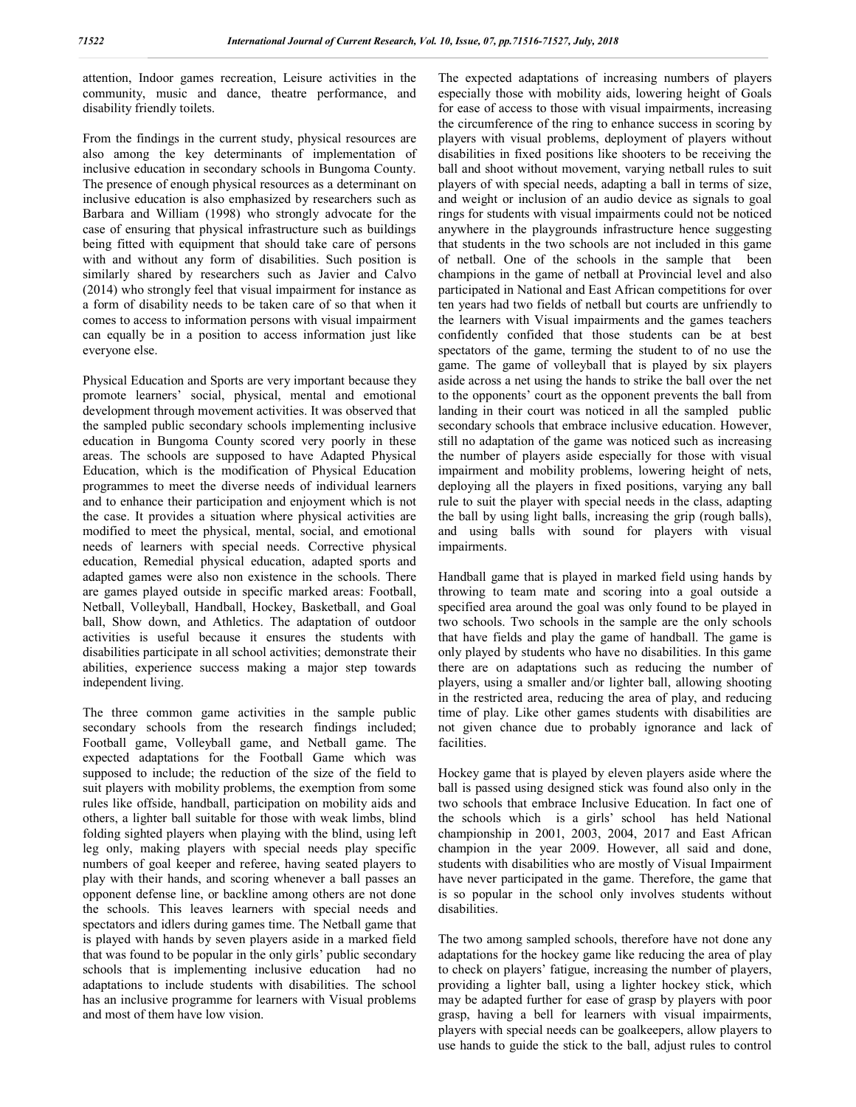attention, Indoor games recreation, Leisure activities in the community, music and dance, theatre performance, and disability friendly toilets.

From the findings in the current study, physical resources are also among the key determinants of implementation of inclusive education in secondary schools in Bungoma County. The presence of enough physical resources as a determinant on inclusive education is also emphasized by researchers such as Barbara and William (1998) who strongly advocate for the case of ensuring that physical infrastructure such as buildings being fitted with equipment that should take care of persons with and without any form of disabilities. Such position is similarly shared by researchers such as Javier and Calvo (2014) who strongly feel that visual impairment for instance as a form of disability needs to be taken care of so that when it comes to access to information persons with visual impairment can equally be in a position to access information just like everyone else.

Physical Education and Sports are very important because they promote learners' social, physical, mental and emotional development through movement activities. It was observed that the sampled public secondary schools implementing inclusive education in Bungoma County scored very poorly in these areas. The schools are supposed to have Adapted Physical Education, which is the modification of Physical Education programmes to meet the diverse needs of individual learners and to enhance their participation and enjoyment which is not the case. It provides a situation where physical activities are modified to meet the physical, mental, social, and emotional needs of learners with special needs. Corrective physical education, Remedial physical education, adapted sports and adapted games were also non existence in the schools. There are games played outside in specific marked areas: Football, Netball, Volleyball, Handball, Hockey, Basketball, and Goal ball, Show down, and Athletics. The adaptation of outdoor activities is useful because it ensures the students with disabilities participate in all school activities; demonstrate their abilities, experience success making a major step towards independent living.

The three common game activities in the sample public secondary schools from the research findings included; Football game, Volleyball game, and Netball game. The expected adaptations for the Football Game which was supposed to include; the reduction of the size of the field to suit players with mobility problems, the exemption from some rules like offside, handball, participation on mobility aids and others, a lighter ball suitable for those with weak limbs, blind folding sighted players when playing with the blind, using left leg only, making players with special needs play specific numbers of goal keeper and referee, having seated players to play with their hands, and scoring whenever a ball passes an opponent defense line, or backline among others are not done the schools. This leaves learners with special needs and spectators and idlers during games time. The Netball game that is played with hands by seven players aside in a marked field that was found to be popular in the only girls' public secondary schools that is implementing inclusive education had no adaptations to include students with disabilities. The school has an inclusive programme for learners with Visual problems and most of them have low vision.

The expected adaptations of increasing numbers of players especially those with mobility aids, lowering height of Goals for ease of access to those with visual impairments, increasing the circumference of the ring to enhance success in scoring by players with visual problems, deployment of players without disabilities in fixed positions like shooters to be receiving the ball and shoot without movement, varying netball rules to suit players of with special needs, adapting a ball in terms of size, and weight or inclusion of an audio device as signals to goal rings for students with visual impairments could not be noticed anywhere in the playgrounds infrastructure hence suggesting that students in the two schools are not included in this game of netball. One of the schools in the sample that been champions in the game of netball at Provincial level and also participated in National and East African competitions for over ten years had two fields of netball but courts are unfriendly to the learners with Visual impairments and the games teachers confidently confided that those students can be at best spectators of the game, terming the student to of no use the game. The game of volleyball that is played by six players aside across a net using the hands to strike the ball over the net to the opponents' court as the opponent prevents the ball from landing in their court was noticed in all the sampled public secondary schools that embrace inclusive education. However, still no adaptation of the game was noticed such as increasing the number of players aside especially for those with visual impairment and mobility problems, lowering height of nets, deploying all the players in fixed positions, varying any ball rule to suit the player with special needs in the class, adapting the ball by using light balls, increasing the grip (rough balls), and using balls with sound for players with visual impairments.

Handball game that is played in marked field using hands by throwing to team mate and scoring into a goal outside a specified area around the goal was only found to be played in two schools. Two schools in the sample are the only schools that have fields and play the game of handball. The game is only played by students who have no disabilities. In this game there are on adaptations such as reducing the number of players, using a smaller and/or lighter ball, allowing shooting in the restricted area, reducing the area of play, and reducing time of play. Like other games students with disabilities are not given chance due to probably ignorance and lack of facilities.

Hockey game that is played by eleven players aside where the ball is passed using designed stick was found also only in the two schools that embrace Inclusive Education. In fact one of the schools which is a girls' school has held National championship in 2001, 2003, 2004, 2017 and East African champion in the year 2009. However, all said and done, students with disabilities who are mostly of Visual Impairment have never participated in the game. Therefore, the game that is so popular in the school only involves students without disabilities.

The two among sampled schools, therefore have not done any adaptations for the hockey game like reducing the area of play to check on players' fatigue, increasing the number of players, providing a lighter ball, using a lighter hockey stick, which may be adapted further for ease of grasp by players with poor grasp, having a bell for learners with visual impairments, players with special needs can be goalkeepers, allow players to use hands to guide the stick to the ball, adjust rules to control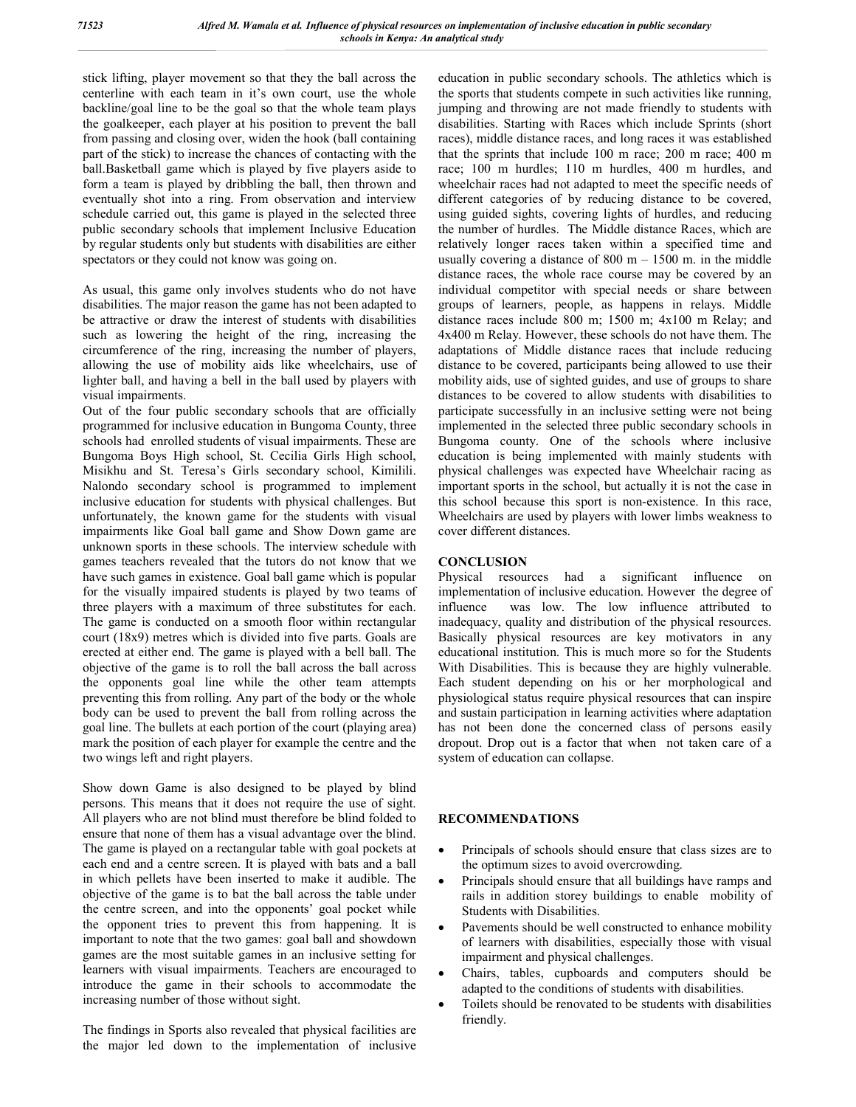stick lifting, player movement so that they the ball across the centerline with each team in it's own court, use the whole backline/goal line to be the goal so that the whole team plays the goalkeeper, each player at his position to prevent the ball from passing and closing over, widen the hook (ball containing part of the stick) to increase the chances of contacting with the ball.Basketball game which is played by five players aside to form a team is played by dribbling the ball, then thrown and eventually shot into a ring. From observation and interview schedule carried out, this game is played in the selected three public secondary schools that implement Inclusive Education by regular students only but students with disabilities are either spectators or they could not know was going on.

As usual, this game only involves students who do not have disabilities. The major reason the game has not been adapted to be attractive or draw the interest of students with disabilities such as lowering the height of the ring, increasing the circumference of the ring, increasing the number of players, allowing the use of mobility aids like wheelchairs, use of lighter ball, and having a bell in the ball used by players with visual impairments.

Out of the four public secondary schools that are officially programmed for inclusive education in Bungoma County, three schools had enrolled students of visual impairments. These are Bungoma Boys High school, St. Cecilia Girls High school, Misikhu and St. Teresa's Girls secondary school, Kimilili. Nalondo secondary school is programmed to implement inclusive education for students with physical challenges. But unfortunately, the known game for the students with visual impairments like Goal ball game and Show Down game are unknown sports in these schools. The interview schedule with games teachers revealed that the tutors do not know that we have such games in existence. Goal ball game which is popular for the visually impaired students is played by two teams of three players with a maximum of three substitutes for each. The game is conducted on a smooth floor within rectangular court (18x9) metres which is divided into five parts. Goals are erected at either end. The game is played with a bell ball. The objective of the game is to roll the ball across the ball across the opponents goal line while the other team attempts preventing this from rolling. Any part of the body or the whole body can be used to prevent the ball from rolling across the goal line. The bullets at each portion of the court (playing area) mark the position of each player for example the centre and the two wings left and right players.

Show down Game is also designed to be played by blind persons. This means that it does not require the use of sight. All players who are not blind must therefore be blind folded to ensure that none of them has a visual advantage over the blind. The game is played on a rectangular table with goal pockets at each end and a centre screen. It is played with bats and a ball in which pellets have been inserted to make it audible. The objective of the game is to bat the ball across the table under the centre screen, and into the opponents' goal pocket while the opponent tries to prevent this from happening. It is important to note that the two games: goal ball and showdown games are the most suitable games in an inclusive setting for learners with visual impairments. Teachers are encouraged to introduce the game in their schools to accommodate the increasing number of those without sight.

The findings in Sports also revealed that physical facilities are the major led down to the implementation of inclusive

education in public secondary schools. The athletics which is the sports that students compete in such activities like running, jumping and throwing are not made friendly to students with disabilities. Starting with Races which include Sprints (short races), middle distance races, and long races it was established that the sprints that include 100 m race; 200 m race; 400 m race; 100 m hurdles; 110 m hurdles, 400 m hurdles, and wheelchair races had not adapted to meet the specific needs of different categories of by reducing distance to be covered, using guided sights, covering lights of hurdles, and reducing the number of hurdles. The Middle distance Races, which are relatively longer races taken within a specified time and usually covering a distance of  $800 \text{ m} - 1500 \text{ m}$ . in the middle distance races, the whole race course may be covered by an individual competitor with special needs or share between groups of learners, people, as happens in relays. Middle distance races include 800 m; 1500 m; 4x100 m Relay; and 4x400 m Relay. However, these schools do not have them. The adaptations of Middle distance races that include reducing distance to be covered, participants being allowed to use their mobility aids, use of sighted guides, and use of groups to share distances to be covered to allow students with disabilities to participate successfully in an inclusive setting were not being implemented in the selected three public secondary schools in Bungoma county. One of the schools where inclusive education is being implemented with mainly students with physical challenges was expected have Wheelchair racing as important sports in the school, but actually it is not the case in this school because this sport is non-existence. In this race, Wheelchairs are used by players with lower limbs weakness to cover different distances.

## **CONCLUSION**

Physical resources had a significant influence on implementation of inclusive education. However the degree of influence was low. The low influence attributed to inadequacy, quality and distribution of the physical resources. Basically physical resources are key motivators in any educational institution. This is much more so for the Students With Disabilities. This is because they are highly vulnerable. Each student depending on his or her morphological and physiological status require physical resources that can inspire and sustain participation in learning activities where adaptation has not been done the concerned class of persons easily dropout. Drop out is a factor that when not taken care of a system of education can collapse.

## **RECOMMENDATIONS**

- Principals of schools should ensure that class sizes are to the optimum sizes to avoid overcrowding.
- Principals should ensure that all buildings have ramps and rails in addition storey buildings to enable mobility of Students with Disabilities.
- Pavements should be well constructed to enhance mobility of learners with disabilities, especially those with visual impairment and physical challenges.
- Chairs, tables, cupboards and computers should be adapted to the conditions of students with disabilities.
- Toilets should be renovated to be students with disabilities friendly.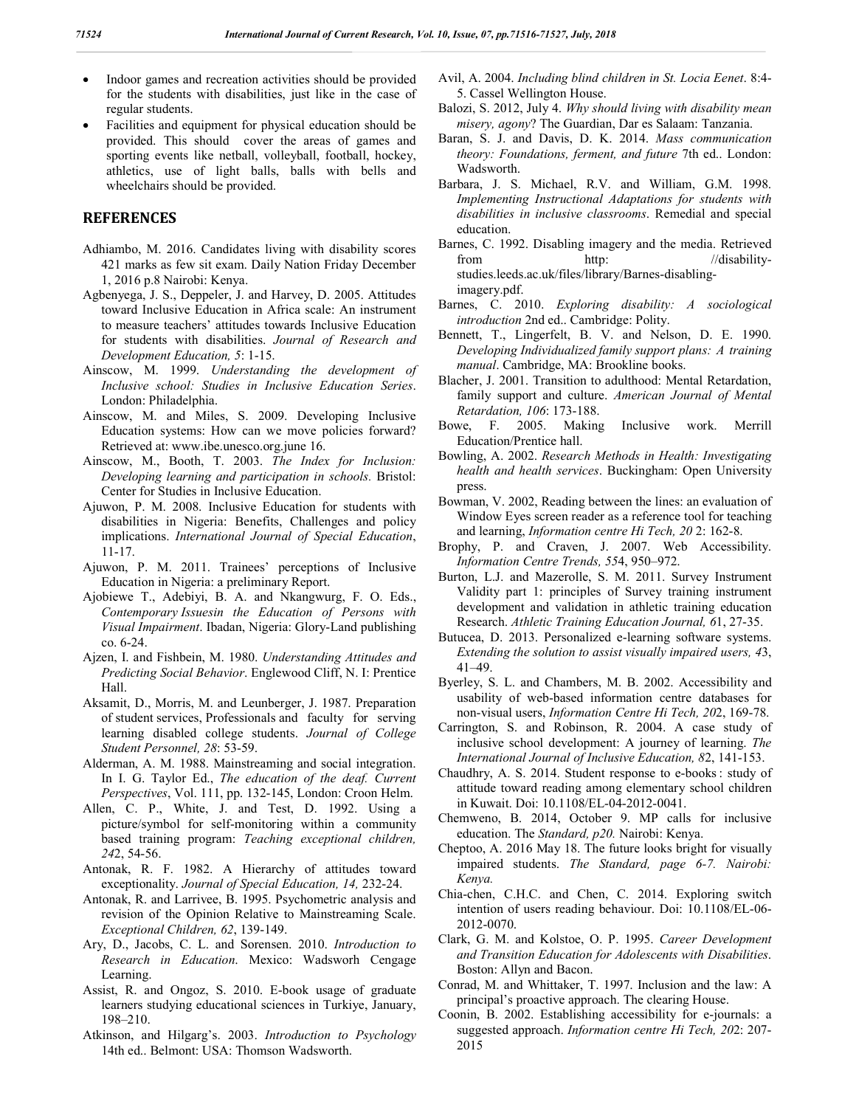- Indoor games and recreation activities should be provided for the students with disabilities, just like in the case of regular students.
- Facilities and equipment for physical education should be provided. This should cover the areas of games and sporting events like netball, volleyball, football, hockey, athletics, use of light balls, balls with bells and wheelchairs should be provided.

## **REFERENCES**

- Adhiambo, M. 2016. Candidates living with disability scores 421 marks as few sit exam. Daily Nation Friday December 1, 2016 p.8 Nairobi: Kenya.
- Agbenyega, J. S., Deppeler, J. and Harvey, D. 2005. Attitudes toward Inclusive Education in Africa scale: An instrument to measure teachers' attitudes towards Inclusive Education for students with disabilities. *Journal of Research and Development Education, 5*: 1-15.
- Ainscow, M. 1999. *Understanding the development of Inclusive school: Studies in Inclusive Education Series*. London: Philadelphia.
- Ainscow, M. and Miles, S. 2009. Developing Inclusive Education systems: How can we move policies forward? Retrieved at: www.ibe.unesco.org.june 16.
- Ainscow, M., Booth, T. 2003. *The Index for Inclusion: Developing learning and participation in schools.* Bristol: Center for Studies in Inclusive Education.
- Ajuwon, P. M. 2008. Inclusive Education for students with disabilities in Nigeria: Benefits, Challenges and policy implications. *International Journal of Special Education*, 11-17.
- Ajuwon, P. M. 2011. Trainees' perceptions of Inclusive Education in Nigeria: a preliminary Report.
- Ajobiewe T., Adebiyi, B. A. and Nkangwurg, F. O. Eds., *Contemporary Issuesin the Education of Persons with Visual Impairment*. Ibadan, Nigeria: Glory-Land publishing co. 6-24.
- Ajzen, I. and Fishbein, M. 1980. *Understanding Attitudes and Predicting Social Behavior*. Englewood Cliff, N. I: Prentice Hall.
- Aksamit, D., Morris, M. and Leunberger, J. 1987. Preparation of student services, Professionals and faculty for serving learning disabled college students. *Journal of College Student Personnel, 28*: 53-59.
- Alderman, A. M. 1988. Mainstreaming and social integration. In I. G. Taylor Ed., *The education of the deaf. Current Perspectives*, Vol. 111, pp. 132-145, London: Croon Helm.
- Allen, C. P., White, J. and Test, D. 1992. Using a picture/symbol for self-monitoring within a community based training program: *Teaching exceptional children, 24*2, 54-56.
- Antonak, R. F. 1982. A Hierarchy of attitudes toward exceptionality. *Journal of Special Education, 14,* 232-24.
- Antonak, R. and Larrivee, B. 1995. Psychometric analysis and revision of the Opinion Relative to Mainstreaming Scale. *Exceptional Children, 62*, 139-149.
- Ary, D., Jacobs, C. L. and Sorensen. 2010. *Introduction to Research in Education*. Mexico: Wadsworh Cengage Learning.
- Assist, R. and Ongoz, S. 2010. E-book usage of graduate learners studying educational sciences in Turkiye, January, 198–210.
- Atkinson, and Hilgarg's. 2003. *Introduction to Psychology* 14th ed.. Belmont: USA: Thomson Wadsworth.
- Avil, A. 2004. *Including blind children in St. Locia Eenet*. 8:4- 5. Cassel Wellington House.
- Balozi, S. 2012, July 4. *Why should living with disability mean misery, agony*? The Guardian, Dar es Salaam: Tanzania.
- Baran, S. J. and Davis, D. K. 2014. *Mass communication theory: Foundations, ferment, and future* 7th ed.. London: Wadsworth.
- Barbara, J. S. Michael, R.V. and William, G.M. 1998. *Implementing Instructional Adaptations for students with disabilities in inclusive classrooms*. Remedial and special education.
- Barnes, C. 1992. Disabling imagery and the media. Retrieved from http: //disabilitystudies.leeds.ac.uk/files/library/Barnes-disablingimagery.pdf.
- Barnes, C. 2010. *Exploring disability: A sociological introduction* 2nd ed.. Cambridge: Polity.
- Bennett, T., Lingerfelt, B. V. and Nelson, D. E. 1990. *Developing Individualized family support plans: A training manual*. Cambridge, MA: Brookline books.
- Blacher, J. 2001. Transition to adulthood: Mental Retardation, family support and culture. *American Journal of Mental Retardation, 106*: 173-188.
- Bowe, F. 2005. Making Inclusive work. Merrill Education/Prentice hall.
- Bowling, A. 2002. *Research Methods in Health: Investigating health and health services*. Buckingham: Open University press.
- Bowman, V. 2002, Reading between the lines: an evaluation of Window Eyes screen reader as a reference tool for teaching and learning, *Information centre Hi Tech, 20* 2: 162-8.
- Brophy, P. and Craven, J. 2007. Web Accessibility. *Information Centre Trends, 55*4, 950–972.
- Burton, L.J. and Mazerolle, S. M. 2011. Survey Instrument Validity part 1: principles of Survey training instrument development and validation in athletic training education Research. *Athletic Training Education Journal, 6*1, 27-35.
- Butucea, D. 2013. Personalized e-learning software systems. *Extending the solution to assist visually impaired users, 4*3, 41–49.
- Byerley, S. L. and Chambers, M. B. 2002. Accessibility and usability of web-based information centre databases for non-visual users, *Information Centre Hi Tech, 20*2, 169-78.
- Carrington, S. and Robinson, R. 2004. A case study of inclusive school development: A journey of learning. *The International Journal of Inclusive Education, 8*2, 141-153.
- Chaudhry, A. S. 2014. Student response to e-books : study of attitude toward reading among elementary school children in Kuwait. Doi: 10.1108/EL-04-2012-0041.
- Chemweno, B. 2014, October 9. MP calls for inclusive education. The *Standard, p20.* Nairobi: Kenya.
- Cheptoo, A. 2016 May 18. The future looks bright for visually impaired students. *The Standard, page 6-7. Nairobi: Kenya.*
- Chia-chen, C.H.C. and Chen, C. 2014. Exploring switch intention of users reading behaviour. Doi: 10.1108/EL-06- 2012-0070.
- Clark, G. M. and Kolstoe, O. P. 1995. *Career Development and Transition Education for Adolescents with Disabilities*. Boston: Allyn and Bacon.
- Conrad, M. and Whittaker, T. 1997. Inclusion and the law: A principal's proactive approach. The clearing House.
- Coonin, B. 2002. Establishing accessibility for e-journals: a suggested approach. *Information centre Hi Tech, 20*2: 207- 2015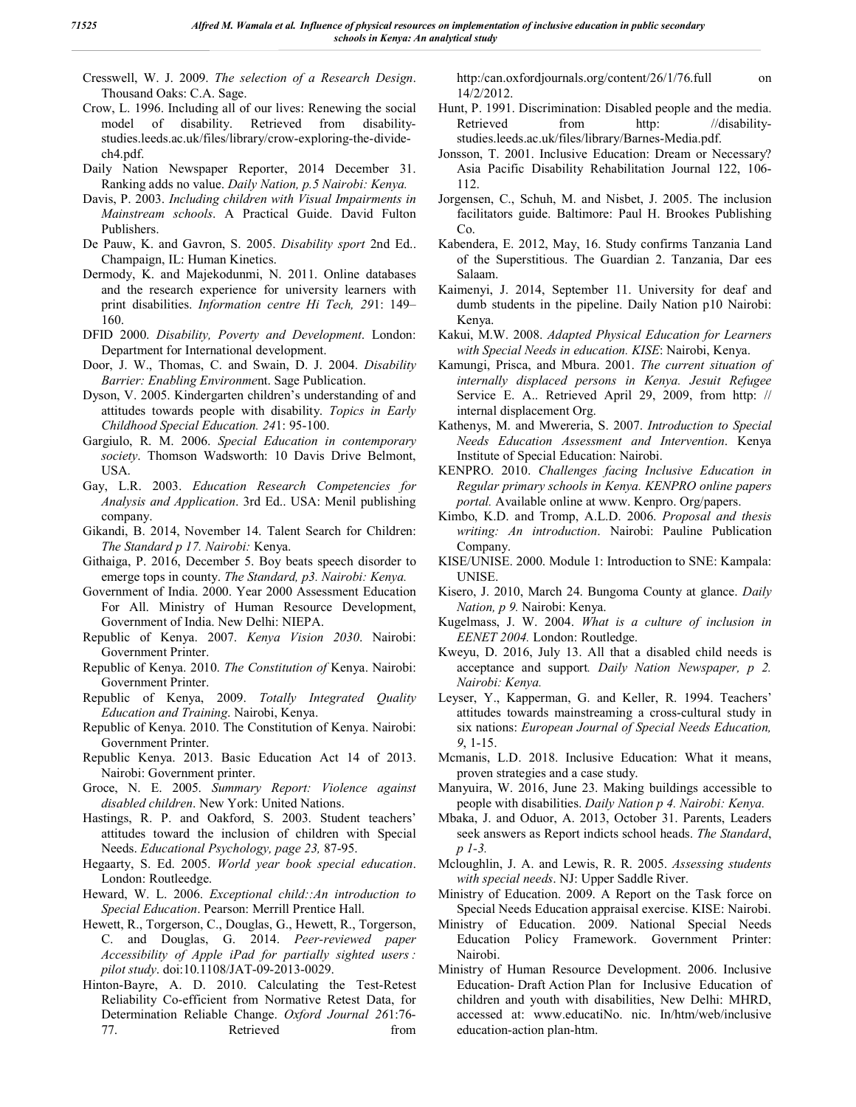- Cresswell, W. J. 2009. *The selection of a Research Design*. Thousand Oaks: C.A. Sage.
- Crow, L. 1996. Including all of our lives: Renewing the social model of disability. Retrieved from disabilitystudies.leeds.ac.uk/files/library/crow-exploring-the-dividech4.pdf.
- Daily Nation Newspaper Reporter, 2014 December 31. Ranking adds no value. *Daily Nation, p.5 Nairobi: Kenya.*
- Davis, P. 2003. *Including children with Visual Impairments in Mainstream schools*. A Practical Guide. David Fulton Publishers.
- De Pauw, K. and Gavron, S. 2005. *Disability sport* 2nd Ed.. Champaign, IL: Human Kinetics.
- Dermody, K. and Majekodunmi, N. 2011. Online databases and the research experience for university learners with print disabilities. *Information centre Hi Tech, 29*1: 149– 160.
- DFID 2000. *Disability, Poverty and Development*. London: Department for International development.
- Door, J. W., Thomas, C. and Swain, D. J. 2004. *Disability Barrier: Enabling Environme*nt. Sage Publication.
- Dyson, V. 2005. Kindergarten children's understanding of and attitudes towards people with disability. *Topics in Early Childhood Special Education. 24*1: 95-100.
- Gargiulo, R. M. 2006. *Special Education in contemporary society*. Thomson Wadsworth: 10 Davis Drive Belmont, USA.
- Gay, L.R. 2003. *Education Research Competencies for Analysis and Application*. 3rd Ed.. USA: Menil publishing company.
- Gikandi, B. 2014, November 14. Talent Search for Children: *The Standard p 17. Nairobi:* Kenya.
- Githaiga, P. 2016, December 5. Boy beats speech disorder to emerge tops in county. *The Standard, p3. Nairobi: Kenya.*
- Government of India. 2000. Year 2000 Assessment Education For All. Ministry of Human Resource Development, Government of India. New Delhi: NIEPA.
- Republic of Kenya. 2007. *Kenya Vision 2030*. Nairobi: Government Printer.
- Republic of Kenya. 2010. *The Constitution of* Kenya. Nairobi: Government Printer.
- Republic of Kenya, 2009. *Totally Integrated Quality Education and Training*. Nairobi, Kenya.
- Republic of Kenya. 2010. The Constitution of Kenya. Nairobi: Government Printer.
- Republic Kenya. 2013. Basic Education Act 14 of 2013. Nairobi: Government printer.
- Groce, N. E. 2005. *Summary Report: Violence against disabled children*. New York: United Nations.
- Hastings, R. P. and Oakford, S. 2003. Student teachers' attitudes toward the inclusion of children with Special Needs. *Educational Psychology, page 23,* 87-95.
- Hegaarty, S. Ed. 2005. *World year book special education*. London: Routleedge.
- Heward, W. L. 2006. *Exceptional child::An introduction to Special Education*. Pearson: Merrill Prentice Hall.
- Hewett, R., Torgerson, C., Douglas, G., Hewett, R., Torgerson, C. and Douglas, G. 2014. *Peer-reviewed paper Accessibility of Apple iPad for partially sighted users : pilot study*. doi:10.1108/JAT-09-2013-0029.
- Hinton-Bayre, A. D. 2010. Calculating the Test-Retest Reliability Co-efficient from Normative Retest Data, for Determination Reliable Change. *Oxford Journal 26*1:76- 77. Retrieved from

http:/can.oxfordjournals.org/content/26/1/76.full on 14/2/2012.

- Hunt, P. 1991. Discrimination: Disabled people and the media. Retrieved from http: //disabilitystudies.leeds.ac.uk/files/library/Barnes-Media.pdf.
- Jonsson, T. 2001. Inclusive Education: Dream or Necessary? Asia Pacific Disability Rehabilitation Journal 122, 106- 112.
- Jorgensen, C., Schuh, M. and Nisbet, J. 2005. The inclusion facilitators guide. Baltimore: Paul H. Brookes Publishing Co.
- Kabendera, E. 2012, May, 16. Study confirms Tanzania Land of the Superstitious. The Guardian 2. Tanzania, Dar ees Salaam.
- Kaimenyi, J. 2014, September 11. University for deaf and dumb students in the pipeline. Daily Nation p10 Nairobi: Kenya.
- Kakui, M.W. 2008. *Adapted Physical Education for Learners with Special Needs in education. KISE*: Nairobi, Kenya.
- Kamungi, Prisca, and Mbura. 2001. *The current situation of internally displaced persons in Kenya. Jesuit Refugee*  Service E. A.. Retrieved April 29, 2009, from http: // internal displacement Org.
- Kathenys, M. and Mwereria, S. 2007. *Introduction to Special Needs Education Assessment and Intervention*. Kenya Institute of Special Education: Nairobi.
- KENPRO. 2010. *Challenges facing Inclusive Education in Regular primary schools in Kenya. KENPRO online papers portal.* Available online at www. Kenpro. Org/papers.
- Kimbo, K.D. and Tromp, A.L.D. 2006. *Proposal and thesis writing: An introduction*. Nairobi: Pauline Publication Company.
- KISE/UNISE. 2000. Module 1: Introduction to SNE: Kampala: UNISE.
- Kisero, J. 2010, March 24. Bungoma County at glance. *Daily Nation, p 9.* Nairobi: Kenya.
- Kugelmass, J. W. 2004. *What is a culture of inclusion in EENET 2004.* London: Routledge.
- Kweyu, D. 2016, July 13. All that a disabled child needs is acceptance and support*. Daily Nation Newspaper, p 2. Nairobi: Kenya.*
- Leyser, Y., Kapperman, G. and Keller, R. 1994. Teachers' attitudes towards mainstreaming a cross-cultural study in six nations: *European Journal of Special Needs Education, 9*, 1-15.
- Mcmanis, L.D. 2018. Inclusive Education: What it means, proven strategies and a case study.
- Manyuira, W. 2016, June 23. Making buildings accessible to people with disabilities. *Daily Nation p 4. Nairobi: Kenya.*
- Mbaka, J. and Oduor, A. 2013, October 31. Parents, Leaders seek answers as Report indicts school heads. *The Standard*, *p 1-3.*
- Mcloughlin, J. A. and Lewis, R. R. 2005. *Assessing students with special needs*. NJ: Upper Saddle River.
- Ministry of Education. 2009. A Report on the Task force on Special Needs Education appraisal exercise. KISE: Nairobi.
- Ministry of Education. 2009. National Special Needs Education Policy Framework. Government Printer: Nairobi.
- Ministry of Human Resource Development. 2006. Inclusive Education- Draft Action Plan for Inclusive Education of children and youth with disabilities, New Delhi: MHRD, accessed at: www.educatiNo. nic. In/htm/web/inclusive education-action plan-htm.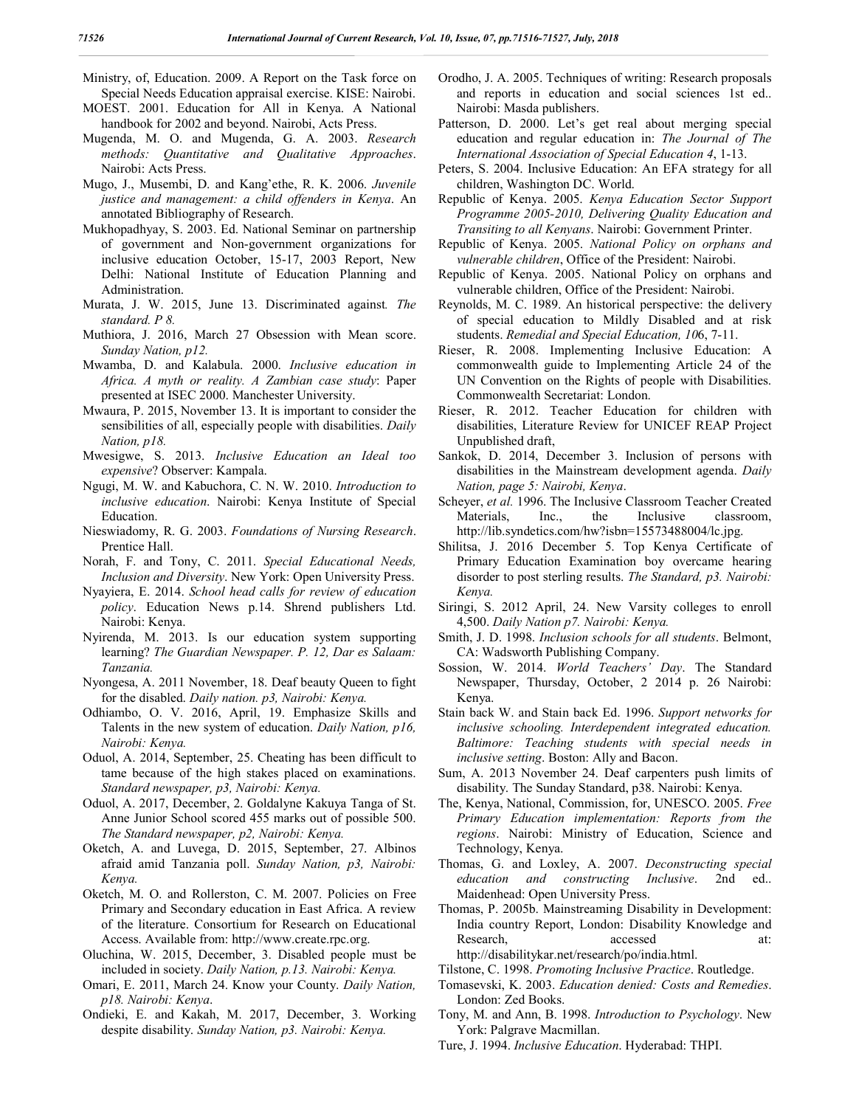Ministry, of, Education. 2009. A Report on the Task force on Special Needs Education appraisal exercise. KISE: Nairobi.

- MOEST. 2001. Education for All in Kenya. A National handbook for 2002 and beyond. Nairobi, Acts Press.
- Mugenda, M. O. and Mugenda, G. A. 2003. *Research methods: Quantitative and Qualitative Approaches*. Nairobi: Acts Press.
- Mugo, J., Musembi, D. and Kang'ethe, R. K. 2006. *Juvenile justice and management: a child offenders in Kenya*. An annotated Bibliography of Research.
- Mukhopadhyay, S. 2003. Ed. National Seminar on partnership of government and Non-government organizations for inclusive education October, 15-17, 2003 Report, New Delhi: National Institute of Education Planning and Administration.
- Murata, J. W. 2015, June 13. Discriminated against*. The standard. P 8.*
- Muthiora, J. 2016, March 27 Obsession with Mean score. *Sunday Nation, p12.*
- Mwamba, D. and Kalabula. 2000. *Inclusive education in Africa. A myth or reality. A Zambian case study*: Paper presented at ISEC 2000. Manchester University.
- Mwaura, P. 2015, November 13. It is important to consider the sensibilities of all, especially people with disabilities. *Daily Nation, p18.*
- Mwesigwe, S. 2013. *Inclusive Education an Ideal too expensive*? Observer: Kampala.
- Ngugi, M. W. and Kabuchora, C. N. W. 2010. *Introduction to inclusive education*. Nairobi: Kenya Institute of Special Education.
- Nieswiadomy, R. G. 2003. *Foundations of Nursing Research*. Prentice Hall.
- Norah, F. and Tony, C. 2011. *Special Educational Needs, Inclusion and Diversity*. New York: Open University Press.
- Nyayiera, E. 2014. *School head calls for review of education policy*. Education News p.14. Shrend publishers Ltd. Nairobi: Kenya.
- Nyirenda, M. 2013. Is our education system supporting learning? *The Guardian Newspaper. P. 12, Dar es Salaam: Tanzania.*
- Nyongesa, A. 2011 November, 18. Deaf beauty Queen to fight for the disabled. *Daily nation. p3, Nairobi: Kenya.*
- Odhiambo, O. V. 2016, April, 19. Emphasize Skills and Talents in the new system of education. *Daily Nation, p16, Nairobi: Kenya.*
- Oduol, A. 2014, September, 25. Cheating has been difficult to tame because of the high stakes placed on examinations. *Standard newspaper, p3, Nairobi: Kenya.*
- Oduol, A. 2017, December, 2. Goldalyne Kakuya Tanga of St. Anne Junior School scored 455 marks out of possible 500. *The Standard newspaper, p2, Nairobi: Kenya.*
- Oketch, A. and Luvega, D. 2015, September, 27. Albinos afraid amid Tanzania poll. *Sunday Nation, p3, Nairobi: Kenya.*
- Oketch, M. O. and Rollerston, C. M. 2007. Policies on Free Primary and Secondary education in East Africa. A review of the literature. Consortium for Research on Educational Access. Available from: http://www.create.rpc.org.
- Oluchina, W. 2015, December, 3. Disabled people must be included in society. *Daily Nation, p.13. Nairobi: Kenya.*
- Omari, E. 2011, March 24. Know your County. *Daily Nation, p18. Nairobi: Kenya*.
- Ondieki, E. and Kakah, M. 2017, December, 3. Working despite disability. *Sunday Nation, p3. Nairobi: Kenya.*
- Orodho, J. A. 2005. Techniques of writing: Research proposals and reports in education and social sciences 1st ed.. Nairobi: Masda publishers.
- Patterson, D. 2000. Let's get real about merging special education and regular education in: *The Journal of The International Association of Special Education 4*, 1-13.
- Peters, S. 2004. Inclusive Education: An EFA strategy for all children, Washington DC. World.
- Republic of Kenya. 2005. *Kenya Education Sector Support Programme 2005-2010, Delivering Quality Education and Transiting to all Kenyans*. Nairobi: Government Printer.
- Republic of Kenya. 2005. *National Policy on orphans and vulnerable children*, Office of the President: Nairobi.
- Republic of Kenya. 2005. National Policy on orphans and vulnerable children, Office of the President: Nairobi.
- Reynolds, M. C. 1989. An historical perspective: the delivery of special education to Mildly Disabled and at risk students. *Remedial and Special Education, 10*6, 7-11.
- Rieser, R. 2008. Implementing Inclusive Education: A commonwealth guide to Implementing Article 24 of the UN Convention on the Rights of people with Disabilities. Commonwealth Secretariat: London.
- Rieser, R. 2012. Teacher Education for children with disabilities, Literature Review for UNICEF REAP Project Unpublished draft,
- Sankok, D. 2014, December 3. Inclusion of persons with disabilities in the Mainstream development agenda. *Daily Nation, page 5: Nairobi, Kenya*.
- Scheyer, *et al.* 1996. The Inclusive Classroom Teacher Created Materials, Inc., the Inclusive classroom, http://lib.syndetics.com/hw?isbn=15573488004/lc.jpg.
- Shilitsa, J. 2016 December 5. Top Kenya Certificate of Primary Education Examination boy overcame hearing disorder to post sterling results. *The Standard, p3. Nairobi: Kenya.*
- Siringi, S. 2012 April, 24. New Varsity colleges to enroll 4,500. *Daily Nation p7. Nairobi: Kenya.*
- Smith, J. D. 1998. *Inclusion schools for all students*. Belmont, CA: Wadsworth Publishing Company.
- Sossion, W. 2014. *World Teachers' Day*. The Standard Newspaper, Thursday, October, 2 2014 p. 26 Nairobi: Kenya.
- Stain back W. and Stain back Ed. 1996. *Support networks for inclusive schooling. Interdependent integrated education. Baltimore: Teaching students with special needs in inclusive setting*. Boston: Ally and Bacon.
- Sum, A. 2013 November 24. Deaf carpenters push limits of disability. The Sunday Standard, p38. Nairobi: Kenya.
- The, Kenya, National, Commission, for, UNESCO. 2005. *Free Primary Education implementation: Reports from the regions*. Nairobi: Ministry of Education, Science and Technology, Kenya.
- Thomas, G. and Loxley, A. 2007. *Deconstructing special education and constructing Inclusive*. 2nd ed.. Maidenhead: Open University Press.
- Thomas, P. 2005b. Mainstreaming Disability in Development: India country Report, London: Disability Knowledge and Research, accessed at: http://disabilitykar.net/research/po/india.html.
- Tilstone, C. 1998. *Promoting Inclusive Practice*. Routledge.
- Tomasevski, K. 2003. *Education denied: Costs and Remedies*. London: Zed Books.
- Tony, M. and Ann, B. 1998. *Introduction to Psychology*. New York: Palgrave Macmillan.
- Ture, J. 1994. *Inclusive Education*. Hyderabad: THPI.